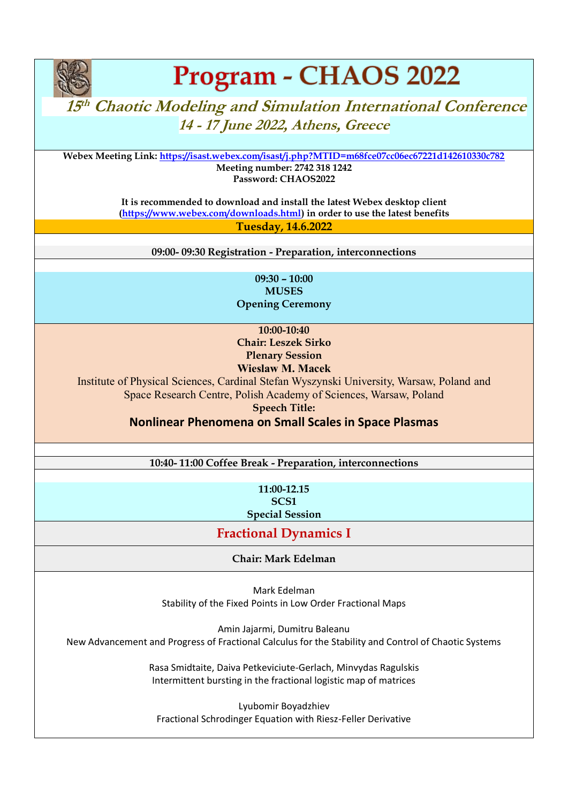

# Program - CHAOS 2022

# **15<sup>th</sup> Chaotic Modeling and Simulation International Conference 14 - 17 June 2022, Athens, Greece**

**Webex Meeting Link:<https://isast.webex.com/isast/j.php?MTID=m68fce07cc06ec67221d142610330c782> Meeting number: 2742 318 1242 Password: CHAOS2022**

> **It is recommended to download and install the latest Webex desktop client [\(https://www.webex.com/downloads.html\)](https://www.webex.com/downloads.html) in order to use the latest benefits Tuesday, 14.6.2022**

**09:00- 09:30 Registration - Preparation, interconnections**

**09:30 – 10:00 MUSES Opening Ceremony**

**10:00-10:40 Chair: Leszek Sirko Plenary Session**

## **Wieslaw M. Macek**

Institute of Physical Sciences, Cardinal Stefan Wyszynski University, Warsaw, Poland and Space Research Centre, Polish Academy of Sciences, Warsaw, Poland

**Speech Title:** 

**Nonlinear Phenomena on Small Scales in Space Plasmas** 

**10:40- 11:00 Coffee Break - Preparation, interconnections**

**11:00-12.15 SCS1 Special Session**

## **Fractional Dynamics I**

**Chair: Mark Edelman**

Mark Edelman Stability of the Fixed Points in Low Order Fractional Maps

Amin Jajarmi, Dumitru Baleanu New Advancement and Progress of Fractional Calculus for the Stability and Control of Chaotic Systems

> Rasa Smidtaite, Daiva Petkeviciute-Gerlach, Minvydas Ragulskis Intermittent bursting in the fractional logistic map of matrices

Lyubomir Boyadzhiev Fractional Schrodinger Equation with Riesz-Feller Derivative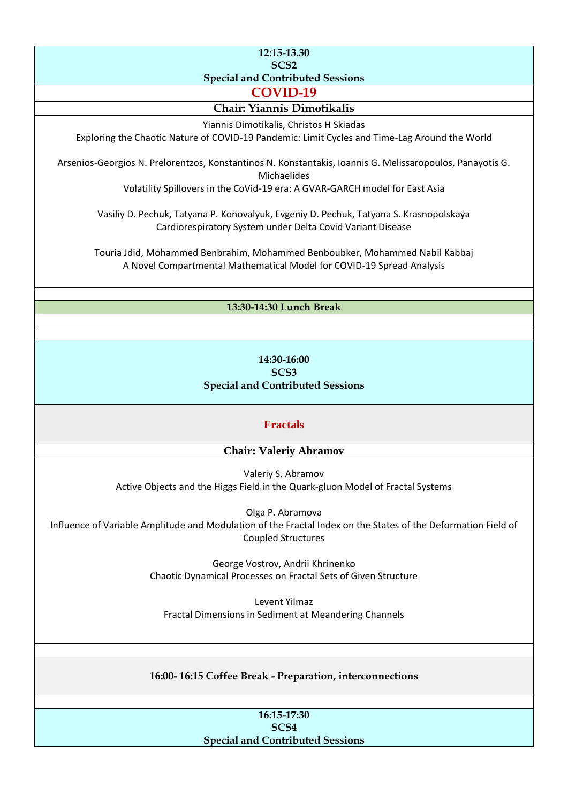#### **12:15-13.30 SCS2 Special and Contributed Sessions**

**COVID-19**

## **Chair: Yiannis Dimotikalis**

Yiannis Dimotikalis, Christos H Skiadas

Exploring the Chaotic Nature of COVID-19 Pandemic: Limit Cycles and Time-Lag Around the World

Arsenios-Georgios N. Prelorentzos, Konstantinos N. Konstantakis, Ioannis G. Melissaropoulos, Panayotis G. Michaelides

Volatility Spillovers in the CoVid-19 era: A GVAR-GARCH model for East Asia

Vasiliy D. Pechuk, Tatyana P. Konovalyuk, Evgeniy D. Pechuk, Tatyana S. Krasnopolskaya Cardiorespiratory System under Delta Covid Variant Disease

Touria Jdid, Mohammed Benbrahim, Mohammed Benboubker, Mohammed Nabil Kabbaj A Novel Compartmental Mathematical Model for COVID-19 Spread Analysis

## **13:30-14:30 Lunch Break**

## **14:30-16:00 SCS3 Special and Contributed Sessions**

## **Fractals**

## **Chair: Valeriy Abramov**

Valeriy S. Abramov Active Objects and the Higgs Field in the Quark-gluon Model of Fractal Systems

Olga P. Abramova Influence of Variable Amplitude and Modulation of the Fractal Index on the States of the Deformation Field of Coupled Structures

> George Vostrov, Andrii Khrinenko Chaotic Dynamical Processes on Fractal Sets of Given Structure

Levent Yilmaz Fractal Dimensions in Sediment at Meandering Channels

## **16:00- 16:15 Coffee Break - Preparation, interconnections**

#### **16:15-17:30 SCS4 Special and Contributed Sessions**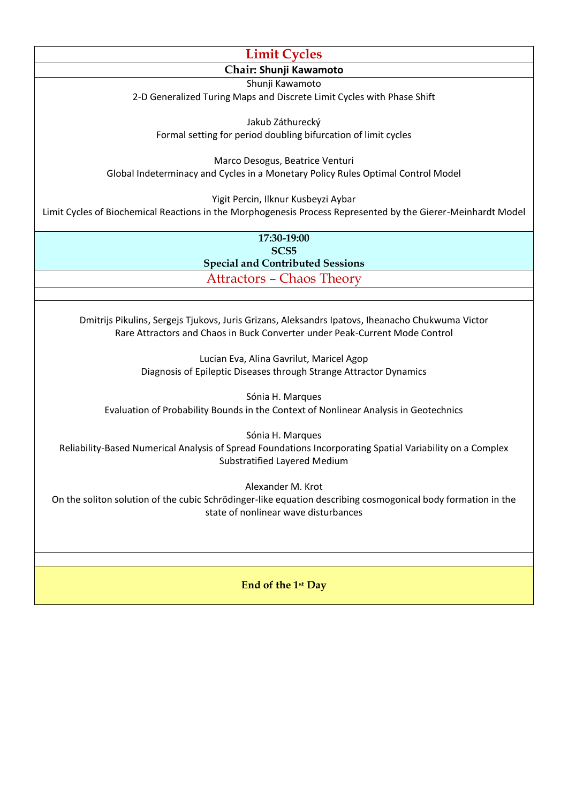## **Limit Cycles Chair: Shunji Kawamoto** Shunji Kawamoto

2-D Generalized Turing Maps and Discrete Limit Cycles with Phase Shift

Jakub Záthurecký Formal setting for period doubling bifurcation of limit cycles

Marco Desogus, Beatrice Venturi Global Indeterminacy and Cycles in a Monetary Policy Rules Optimal Control Model

Yigit Percin, Ilknur Kusbeyzi Aybar

Limit Cycles of Biochemical Reactions in the Morphogenesis Process Represented by the Gierer-Meinhardt Model

**17:30-19:00 SCS5 Special and Contributed Sessions** Attractors – Chaos Theory

Dmitrijs Pikulins, Sergejs Tjukovs, Juris Grizans, Aleksandrs Ipatovs, Iheanacho Chukwuma Victor Rare Attractors and Chaos in Buck Converter under Peak-Current Mode Control

> Lucian Eva, Alina Gavrilut, Maricel Agop Diagnosis of Epileptic Diseases through Strange Attractor Dynamics

Sónia H. Marques Evaluation of Probability Bounds in the Context of Nonlinear Analysis in Geotechnics

Sónia H. Marques

Reliability-Based Numerical Analysis of Spread Foundations Incorporating Spatial Variability on a Complex Substratified Layered Medium

Alexander M. Krot

On the soliton solution of the cubic Schrödinger-like equation describing cosmogonical body formation in the state of nonlinear wave disturbances

**End of the 1st Day**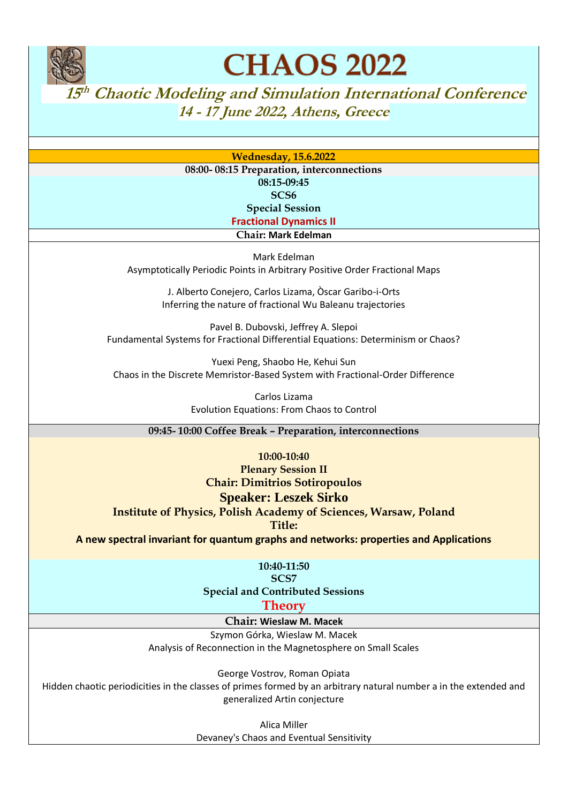

**CHAOS 2022** 

**15th Chaotic Modeling and Simulation International Conference 14 - 17 June 2022, Athens, Greece** 

**Wednesday, 15.6.2022**

**08:00- 08:15 Preparation, interconnections 08:15-09:45 SCS6 Special Session Fractional Dynamics II**

**Chair: Mark Edelman**

Mark Edelman Asymptotically Periodic Points in Arbitrary Positive Order Fractional Maps

> J. Alberto Conejero, Carlos Lizama, Òscar Garibo-i-Orts Inferring the nature of fractional Wu Baleanu trajectories

Pavel B. Dubovski, Jeffrey A. Slepoi Fundamental Systems for Fractional Differential Equations: Determinism or Chaos?

Yuexi Peng, Shaobo He, Kehui Sun Chaos in the Discrete Memristor-Based System with Fractional-Order Difference

> Carlos Lizama Evolution Equations: From Chaos to Control

**09:45- 10:00 Coffee Break – Preparation, interconnections**

**10:00-10:40 Plenary Session II Chair: Dimitrios Sotiropoulos**

## **Speaker: Leszek Sirko**

**Institute of Physics, Polish Academy of Sciences, Warsaw, Poland**

**Title:** 

**A new spectral invariant for quantum graphs and networks: properties and Applications**

**10:40-11:50**

**SCS7 Special and Contributed Sessions Theory**

**Chair: Wieslaw M. Macek**

Szymon Górka, Wieslaw M. Macek Analysis of Reconnection in the Magnetosphere on Small Scales

George Vostrov, Roman Opiata

Hidden chaotic periodicities in the classes of primes formed by an arbitrary natural number a in the extended and generalized Artin conjecture

> Alica Miller Devaney's Chaos and Eventual Sensitivity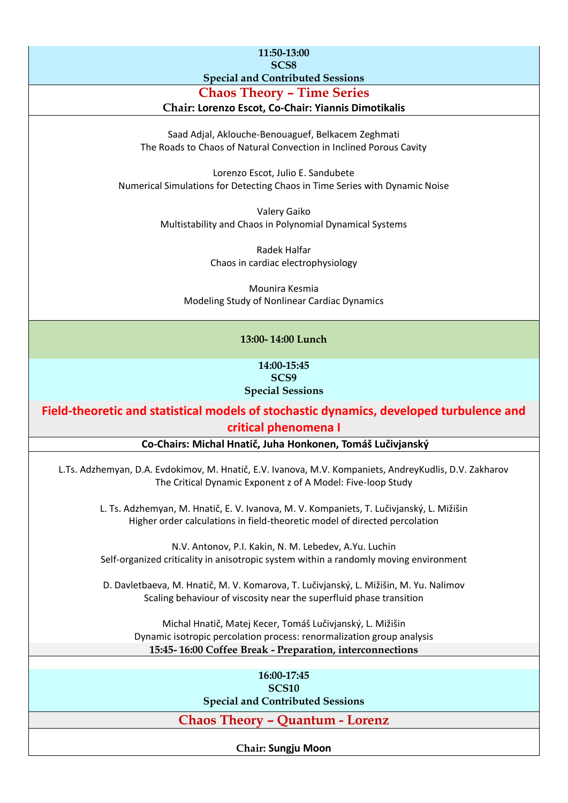| 11:50-13:00<br>SCS <sub>8</sub>                                                                                                                                        |
|------------------------------------------------------------------------------------------------------------------------------------------------------------------------|
| <b>Special and Contributed Sessions</b>                                                                                                                                |
| <b>Chaos Theory - Time Series</b>                                                                                                                                      |
| Chair: Lorenzo Escot, Co-Chair: Yiannis Dimotikalis                                                                                                                    |
| Saad Adjal, Aklouche-Benouaguef, Belkacem Zeghmati<br>The Roads to Chaos of Natural Convection in Inclined Porous Cavity                                               |
| Lorenzo Escot, Julio E. Sandubete<br>Numerical Simulations for Detecting Chaos in Time Series with Dynamic Noise                                                       |
| Valery Gaiko<br>Multistability and Chaos in Polynomial Dynamical Systems                                                                                               |
| Radek Halfar                                                                                                                                                           |
| Chaos in cardiac electrophysiology                                                                                                                                     |
| Mounira Kesmia<br>Modeling Study of Nonlinear Cardiac Dynamics                                                                                                         |
| 13:00-14:00 Lunch                                                                                                                                                      |
| 14:00-15:45<br>SCS9<br><b>Special Sessions</b>                                                                                                                         |
| Field-theoretic and statistical models of stochastic dynamics, developed turbulence and                                                                                |
| critical phenomena I                                                                                                                                                   |
| Co-Chairs: Michal Hnatič, Juha Honkonen, Tomáš Lučivjanský                                                                                                             |
| L.Ts. Adzhemyan, D.A. Evdokimov, M. Hnatič, E.V. Ivanova, M.V. Kompaniets, AndreyKudlis, D.V. Zakharov<br>The Critical Dynamic Exponent z of A Model: Five-loop Study  |
| L. Ts. Adzhemyan, M. Hnatič, E. V. Ivanova, M. V. Kompaniets, T. Lučivjanský, L. Mižišin<br>Higher order calculations in field-theoretic model of directed percolation |
| N.V. Antonov, P.I. Kakin, N. M. Lebedev, A.Yu. Luchin<br>Self-organized criticality in anisotropic system within a randomly moving environment                         |
| D. Davletbaeva, M. Hnatič, M. V. Komarova, T. Lučivjanský, L. Mižišin, M. Yu. Nalimov<br>Scaling behaviour of viscosity near the superfluid phase transition           |
| Michal Hnatič, Matej Kecer, Tomáš Lučivjanský, L. Mižišin<br>Dynamic isotropic percolation process: renormalization group analysis                                     |
| 15:45-16:00 Coffee Break - Preparation, interconnections                                                                                                               |
| 16:00-17:45                                                                                                                                                            |
| <b>SCS10</b>                                                                                                                                                           |
| <b>Special and Contributed Sessions</b>                                                                                                                                |
| <b>Chaos Theory - Quantum - Lorenz</b>                                                                                                                                 |
|                                                                                                                                                                        |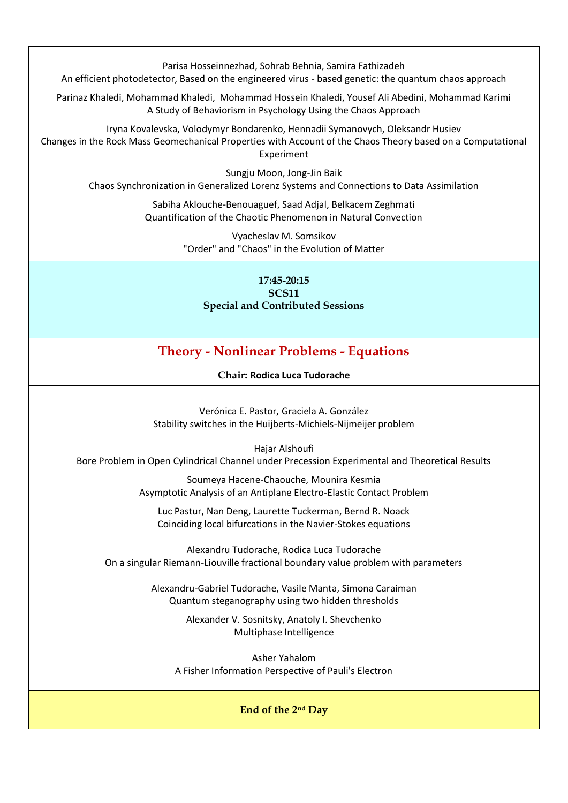Parisa Hosseinnezhad, Sohrab Behnia, Samira Fathizadeh

An efficient photodetector, Based on the engineered virus - based genetic: the quantum chaos approach

Parinaz Khaledi, Mohammad Khaledi, Mohammad Hossein Khaledi, Yousef Ali Abedini, Mohammad Karimi A Study of Behaviorism in Psychology Using the Chaos Approach

Iryna Kovalevska, Volodymyr Bondarenko, Hennadii Symanovych, Oleksandr Husiev Changes in the Rock Mass Geomechanical Properties with Account of the Chaos Theory based on a Computational Experiment

> Sungju Moon, Jong-Jin Baik Chaos Synchronization in Generalized Lorenz Systems and Connections to Data Assimilation

> > Sabiha Aklouche-Benouaguef, Saad Adjal, Belkacem Zeghmati Quantification of the Chaotic Phenomenon in Natural Convection

> > > Vyacheslav M. Somsikov "Order" and "Chaos" in the Evolution of Matter

**17:45-20:15 SCS11 Special and Contributed Sessions**

## **Theory - Nonlinear Problems - Equations**

**Chair: Rodica Luca Tudorache**

Verónica E. Pastor, Graciela A. González Stability switches in the Huijberts-Michiels-Nijmeijer problem

Hajar Alshoufi

Bore Problem in Open Cylindrical Channel under Precession Experimental and Theoretical Results

Soumeya Hacene-Chaouche, Mounira Kesmia Asymptotic Analysis of an Antiplane Electro-Elastic Contact Problem

Luc Pastur, Nan Deng, Laurette Tuckerman, Bernd R. Noack Coinciding local bifurcations in the Navier-Stokes equations

Alexandru Tudorache, Rodica Luca Tudorache On a singular Riemann-Liouville fractional boundary value problem with parameters

> Alexandru-Gabriel Tudorache, Vasile Manta, Simona Caraiman Quantum steganography using two hidden thresholds

> > Alexander V. Sosnitsky, Anatoly I. Shevchenko Multiphase Intelligence

Asher Yahalom A Fisher Information Perspective of Pauli's Electron

## **End of the 2nd Day**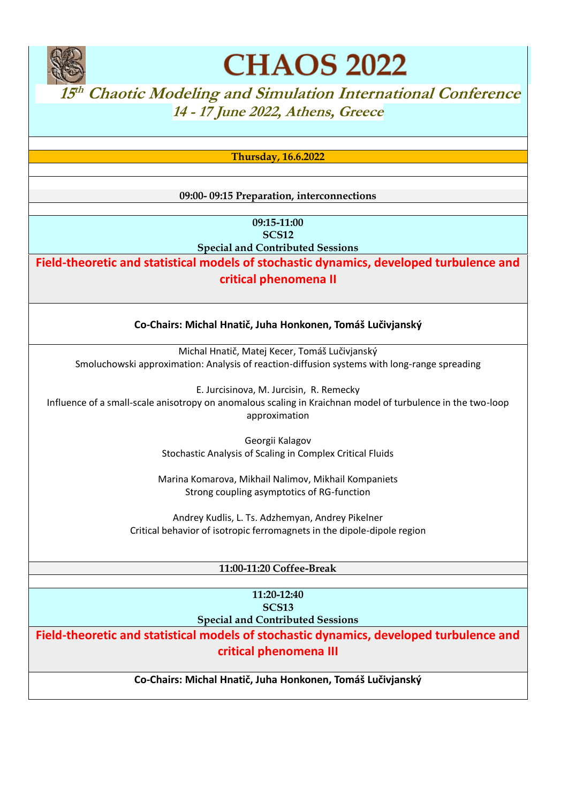

**CHAOS 2022** 

 $15<sup>th</sup>$  Chaotic Modeling and Simulation International Conference **14 - 17 June 2022, Athens, Greece** 

**Thursday, 16.6.2022**

**09:00- 09:15 Preparation, interconnections**

**09:15-11:00 SCS12 Special and Contributed Sessions**

**Field-theoretic and statistical models of stochastic dynamics, developed turbulence and critical phenomena II**

**Co-Chairs: Michal Hnatič, Juha Honkonen, Tomáš Lučivjanský**

Michal Hnatič, Matej Kecer, Tomáš Lučivjanský Smoluchowski approximation: Analysis of reaction-diffusion systems with long-range spreading

E. Jurcisinova, M. Jurcisin, R. Remecky Influence of a small-scale anisotropy on anomalous scaling in Kraichnan model of turbulence in the two-loop approximation

> Georgii Kalagov Stochastic Analysis of Scaling in Complex Critical Fluids

Marina Komarova, Mikhail Nalimov, Mikhail Kompaniets Strong coupling asymptotics of RG-function

Andrey Kudlis, L. Ts. Adzhemyan, Andrey Pikelner Critical behavior of isotropic ferromagnets in the dipole-dipole region

## **11:00-11:20 Coffee-Break**

**11:20-12:40 SCS13 Special and Contributed Sessions**

**Field-theoretic and statistical models of stochastic dynamics, developed turbulence and critical phenomena III**

**Co-Chairs: Michal Hnatič, Juha Honkonen, Tomáš Lučivjanský**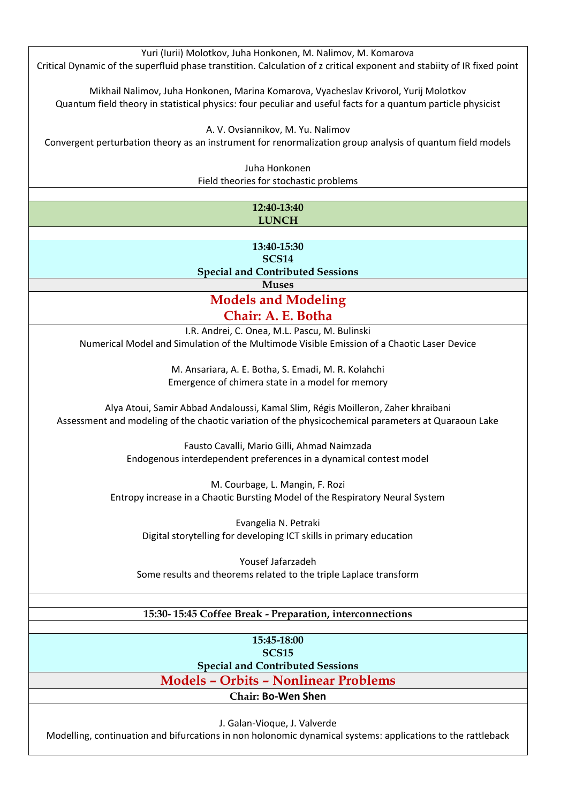| Yuri (Iurii) Molotkov, Juha Honkonen, M. Nalimov, M. Komarova                                                           |
|-------------------------------------------------------------------------------------------------------------------------|
| Critical Dynamic of the superfluid phase transtition. Calculation of z critical exponent and stabiity of IR fixed point |
|                                                                                                                         |
|                                                                                                                         |
| Mikhail Nalimov, Juha Honkonen, Marina Komarova, Vyacheslav Krivorol, Yurij Molotkov                                    |
| Quantum field theory in statistical physics: four peculiar and useful facts for a quantum particle physicist            |
|                                                                                                                         |
|                                                                                                                         |
| A. V. Ovsiannikov, M. Yu. Nalimov                                                                                       |
| Convergent perturbation theory as an instrument for renormalization group analysis of quantum field models              |
|                                                                                                                         |
| Juha Honkonen                                                                                                           |
|                                                                                                                         |
| Field theories for stochastic problems                                                                                  |
|                                                                                                                         |
| 12:40-13:40                                                                                                             |
| <b>LUNCH</b>                                                                                                            |
|                                                                                                                         |
|                                                                                                                         |
| 13:40-15:30                                                                                                             |
| <b>SCS14</b>                                                                                                            |
| <b>Special and Contributed Sessions</b>                                                                                 |
|                                                                                                                         |
| <b>Muses</b>                                                                                                            |
| <b>Models and Modeling</b>                                                                                              |
|                                                                                                                         |
| Chair: A. E. Botha                                                                                                      |
| I.R. Andrei, C. Onea, M.L. Pascu, M. Bulinski                                                                           |
| Numerical Model and Simulation of the Multimode Visible Emission of a Chaotic Laser Device                              |
|                                                                                                                         |
|                                                                                                                         |
| M. Ansariara, A. E. Botha, S. Emadi, M. R. Kolahchi                                                                     |
| Emergence of chimera state in a model for memory                                                                        |
|                                                                                                                         |
|                                                                                                                         |
| Alya Atoui, Samir Abbad Andaloussi, Kamal Slim, Régis Moilleron, Zaher khraibani                                        |
| Assessment and modeling of the chaotic variation of the physicochemical parameters at Quaraoun Lake                     |
|                                                                                                                         |
| Fausto Cavalli, Mario Gilli, Ahmad Naimzada                                                                             |
|                                                                                                                         |
| Endogenous interdependent preferences in a dynamical contest model                                                      |
|                                                                                                                         |
| M. Courbage, L. Mangin, F. Rozi                                                                                         |
| Entropy increase in a Chaotic Bursting Model of the Respiratory Neural System                                           |
|                                                                                                                         |
|                                                                                                                         |
| Evangelia N. Petraki                                                                                                    |
| Digital storytelling for developing ICT skills in primary education                                                     |
|                                                                                                                         |
|                                                                                                                         |
| Yousef Jafarzadeh                                                                                                       |
| Some results and theorems related to the triple Laplace transform                                                       |
|                                                                                                                         |
|                                                                                                                         |
|                                                                                                                         |
| 15:30-15:45 Coffee Break - Preparation, interconnections                                                                |
|                                                                                                                         |
| 15:45-18:00                                                                                                             |
| <b>SCS15</b>                                                                                                            |
|                                                                                                                         |
| <b>Special and Contributed Sessions</b>                                                                                 |
| <b>Models - Orbits - Nonlinear Problems</b>                                                                             |
| <b>Chair: Bo-Wen Shen</b>                                                                                               |
|                                                                                                                         |
|                                                                                                                         |

J. Galan-Vioque, J. Valverde

Modelling, continuation and bifurcations in non holonomic dynamical systems: applications to the rattleback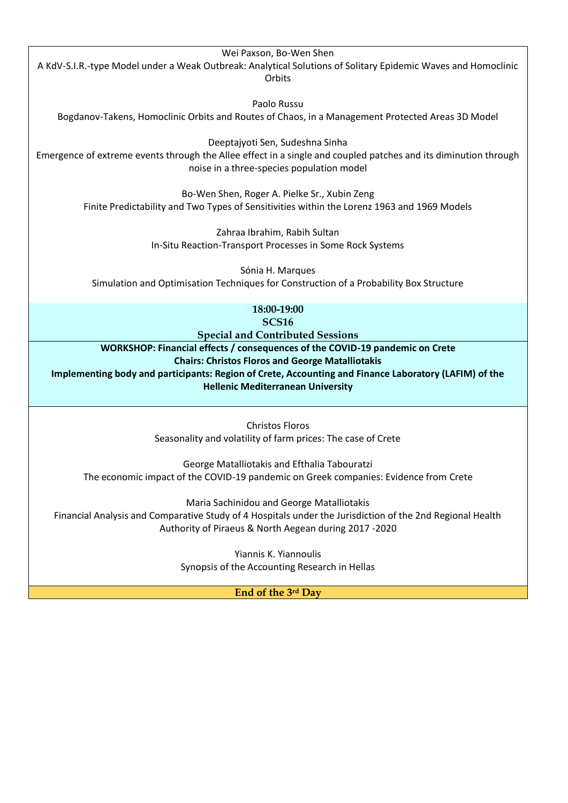Wei Paxson, Bo-Wen Shen A KdV-S.I.R.-type Model under a Weak Outbreak: Analytical Solutions of Solitary Epidemic Waves and Homoclinic **Orbits** Paolo Russu Bogdanov-Takens, Homoclinic Orbits and Routes of Chaos, in a Management Protected Areas 3D Model Deeptajyoti Sen, Sudeshna Sinha Emergence of extreme events through the Allee effect in a single and coupled patches and its diminution through noise in a three-species population model Bo-Wen Shen, Roger A. Pielke Sr., Xubin Zeng

> Zahraa Ibrahim, Rabih Sultan In-Situ Reaction-Transport Processes in Some Rock Systems

Finite Predictability and Two Types of Sensitivities within the Lorenz 1963 and 1969 Models

Sónia H. Marques Simulation and Optimisation Techniques for Construction of a Probability Box Structure

> **18:00-19:00 SCS16**

**Special and Contributed Sessions**

**WORKSHOP: Financial effects / consequences of the COVID-19 pandemic on Crete Chairs: Christos Floros and George Matalliotakis**

**Implementing body and participants: Region of Crete, Accounting and Finance Laboratory (LAFIM) of the Hellenic Mediterranean University**

> Christos Floros Seasonality and volatility of farm prices: The case of Crete

George Matalliotakis and Efthalia Tabouratzi The economic impact of the COVID-19 pandemic on Greek companies: Evidence from Crete

Maria Sachinidou and George Matalliotakis

Financial Analysis and Comparative Study of 4 Hospitals under the Jurisdiction of the 2nd Regional Health Authority of Piraeus & North Aegean during 2017 -2020

> Yiannis K. Yiannoulis Synopsis of the Accounting Research in Hellas

> > **End of the 3rd Day**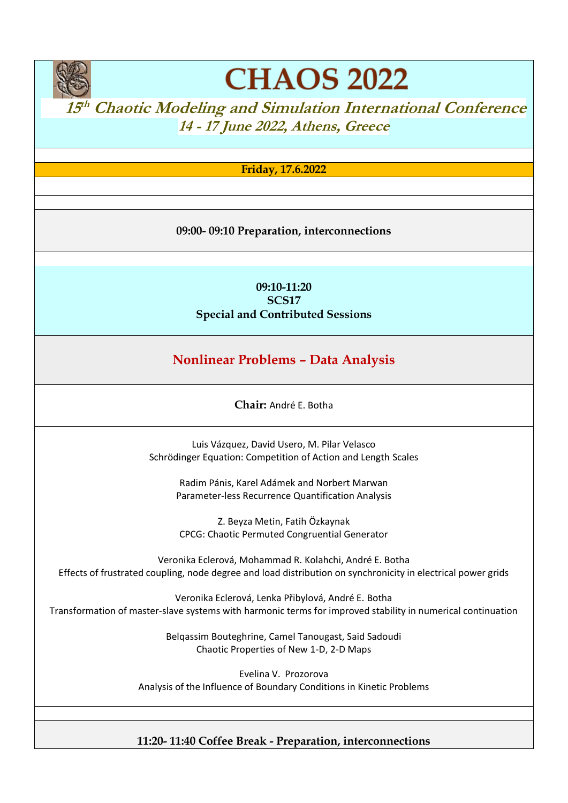

# **CHAOS 2022**

# **15<sup>th</sup> Chaotic Modeling and Simulation International Conference 14 - 17 June 2022, Athens, Greece**

## **Friday, 17.6.2022**

**09:00- 09:10 Preparation, interconnections**

## **09:10-11:20 SCS17 Special and Contributed Sessions**

## **Nonlinear Problems – Data Analysis**

**Chair:** André E. Botha

Luis Vázquez, David Usero, M. Pilar Velasco Schrödinger Equation: Competition of Action and Length Scales

> Radim Pánis, Karel Adámek and Norbert Marwan Parameter-less Recurrence Quantification Analysis

Z. Beyza Metin, Fatih Özkaynak CPCG: Chaotic Permuted Congruential Generator

Veronika Eclerová, Mohammad R. Kolahchi, André E. Botha Effects of frustrated coupling, node degree and load distribution on synchronicity in electrical power grids

Veronika Eclerová, Lenka Přibylová, André E. Botha Transformation of master-slave systems with harmonic terms for improved stability in numerical continuation

> Belqassim Bouteghrine, Camel Tanougast, Said Sadoudi Chaotic Properties of New 1-D, 2-D Maps

Evelina V. Prozorova Analysis of the Influence of Boundary Conditions in Kinetic Problems

## **11:20- 11:40 Coffee Break - Preparation, interconnections**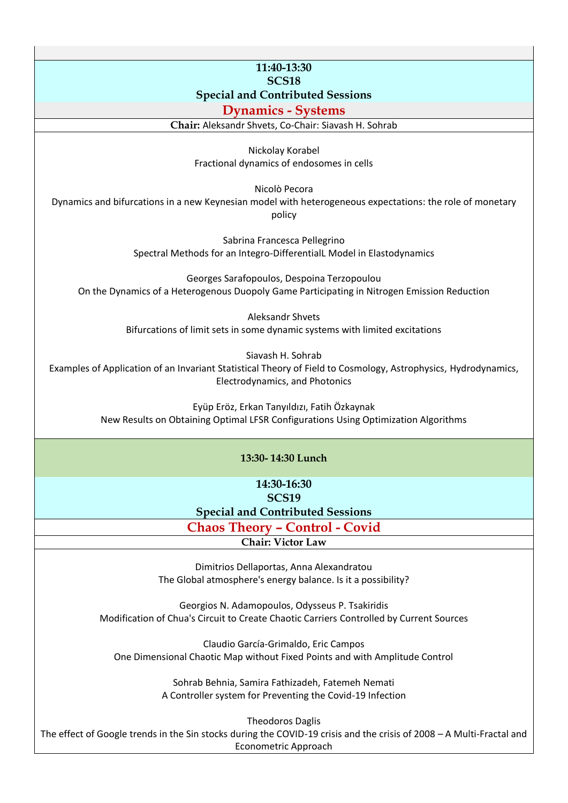## **11:40-13:30 SCS18 Special and Contributed Sessions**

## **Dynamics - Systems**

**Chair:** Aleksandr Shvets, Co-Chair: Siavash H. Sohrab

Nickolay Korabel Fractional dynamics of endosomes in cells

Nicolò Pecora

Dynamics and bifurcations in a new Keynesian model with heterogeneous expectations: the role of monetary policy

> Sabrina Francesca Pellegrino Spectral Methods for an Integro-DifferentialL Model in Elastodynamics

Georges Sarafopoulos, Despoina Terzopoulou On the Dynamics of a Heterogenous Duopoly Game Participating in Nitrogen Emission Reduction

> Aleksandr Shvets Bifurcations of limit sets in some dynamic systems with limited excitations

> > Siavash H. Sohrab

Examples of Application of an Invariant Statistical Theory of Field to Cosmology, Astrophysics, Hydrodynamics, Electrodynamics, and Photonics

> Eyüp Eröz, Erkan Tanyıldızı, Fatih Özkaynak New Results on Obtaining Optimal LFSR Configurations Using Optimization Algorithms

#### **13:30- 14:30 Lunch**

**14:30-16:30 SCS19**

**Special and Contributed Sessions**

**Chaos Theory – Control - Covid**

**Chair: Victor Law**

Dimitrios Dellaportas, Anna Alexandratou The Global atmosphere's energy balance. Is it a possibility?

Georgios N. Adamopoulos, Odysseus P. Tsakiridis Modification of Chua's Circuit to Create Chaotic Carriers Controlled by Current Sources

Claudio García-Grimaldo, Eric Campos One Dimensional Chaotic Map without Fixed Points and with Amplitude Control

> Sohrab Behnia, Samira Fathizadeh, Fatemeh Nemati A Controller system for Preventing the Covid-19 Infection

Theodoros Daglis The effect of Google trends in the Sin stocks during the COVID-19 crisis and the crisis of 2008 – A Multi-Fractal and Econometric Approach